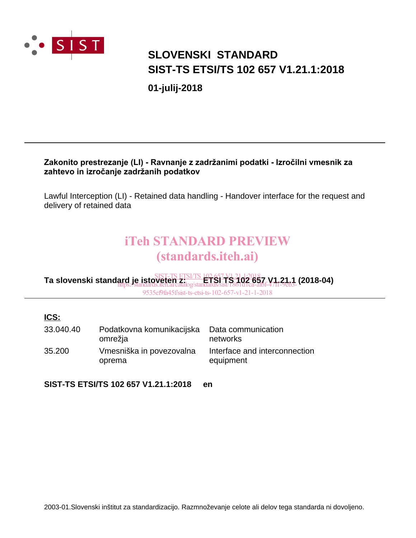

# **SIST-TS ETSI/TS 102 657 V1.21.1:2018 SLOVENSKI STANDARD**

**01-julij-2018**

### Zakonito prestrezanje (LI) - Ravnanje z zadržanimi podatki - Izročilni vmesnik za zahtevo in izročanje zadržanih podatkov

Lawful Interception (LI) - Retained data handling - Handover interface for the request and delivery of retained data

# iTeh STANDARD PREVIEW (standards.iteh.ai)

**Ta slovenski standard je istoveten z: ETSI TS 102 657 V1.21.1 (2018-04)** SIST-TS ETSI/TS 102 657 V1.21.1:2018 https://standards.iteh.ai/catalog/standards/sist/1861d1ca-afbf-47f1-9eb3- 9535ef9fa45f/sist-ts-etsi-ts-102-657-v1-21-1-2018

### **ICS:**

| 33.040.40 | Podatkovna komunikacijska<br>omrežja | Data communication<br>networks             |
|-----------|--------------------------------------|--------------------------------------------|
| 35.200    | Vmesniška in povezovalna<br>oprema   | Interface and interconnection<br>equipment |

**SIST-TS ETSI/TS 102 657 V1.21.1:2018 en**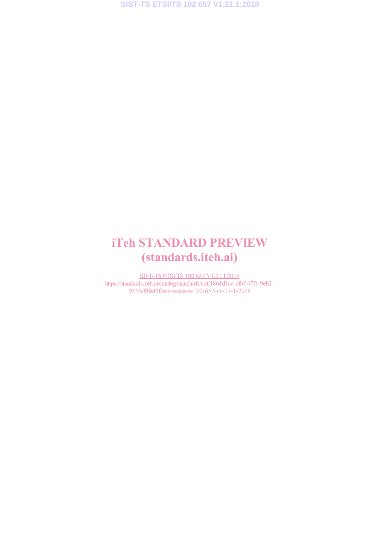# iTeh STANDARD PREVIEW (standards.iteh.ai)

SIST-TS ETSI/TS 102 657 V1.21.1:2018 https://standards.iteh.ai/catalog/standards/sist/1861d1ca-afbf-47f1-9eb3- 9535ef9fa45f/sist-ts-etsi-ts-102-657-v1-21-1-2018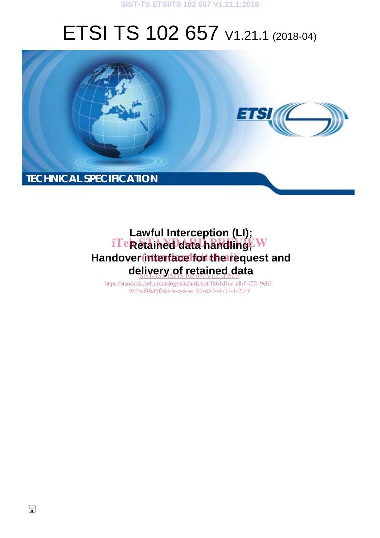#### **SIST-TS ETSI/TS 102 657 V1.21.1:2018**

# ETSI TS 102 657 V1.21.1 (2018-04)



# **Lawful Interception (LI);** iTe**k Stained data handling**; W Handover interface for the request and de<u>livery of retained d</u>ata

https://standards.iteh.ai/catalog/standards/sist/1861d1ca-afbf-47f1-9eb3- 9535ef9fa45f/sist-ts-etsi-ts-102-657-v1-21-1-2018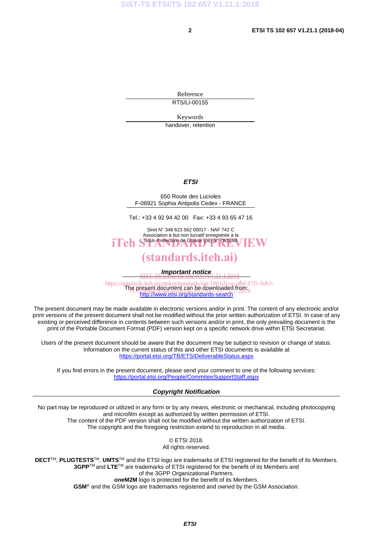Reference RTS/LI-00155

Keywords

handover, retention

#### *ETSI*

650 Route des Lucioles F-06921 Sophia Antipolis Cedex - FRANCE

Tel.: +33 4 92 94 42 00 Fax: +33 4 93 65 47 16

Siret N° 348 623 562 00017 - NAF 742 C Association à but non lucratif enregistrée à la iTeh S<sup>Sous-Préfecture</sup> de Grasse (06) N° 7803/88 / IEW

### (standards.iteh.ai)

*Important notice*  SIST-TS ETSI/TS 102 657 V1.21.1:2018

https://standards.iteh.ai/catalog/standards/sist/1861d1ca-afbf-47f1-9eb3-<br>The present document can be downloaded from: http://www.etsi.org/standards-search de present document can be downloaded inom<br>9533etx19451/sist-ts-etsi-ts-102-672--21-21-2018

The present document may be made available in electronic versions and/or in print. The content of any electronic and/or print versions of the present document shall not be modified without the prior written authorization of ETSI. In case of any existing or perceived difference in contents between such versions and/or in print, the only prevailing document is the print of the Portable Document Format (PDF) version kept on a specific network drive within ETSI Secretariat.

Users of the present document should be aware that the document may be subject to revision or change of status. Information on the current status of this and other ETSI documents is available at https://portal.etsi.org/TB/ETSIDeliverableStatus.aspx

If you find errors in the present document, please send your comment to one of the following services: https://portal.etsi.org/People/CommiteeSupportStaff.aspx

#### *Copyright Notification*

No part may be reproduced or utilized in any form or by any means, electronic or mechanical, including photocopying and microfilm except as authorized by written permission of ETSI. The content of the PDF version shall not be modified without the written authorization of ETSI. The copyright and the foregoing restriction extend to reproduction in all media.

> © ETSI 2018. All rights reserved.

**DECT**TM, **PLUGTESTS**TM, **UMTS**TM and the ETSI logo are trademarks of ETSI registered for the benefit of its Members. **3GPP**TM and **LTE**TM are trademarks of ETSI registered for the benefit of its Members and of the 3GPP Organizational Partners. **oneM2M** logo is protected for the benefit of its Members.

**GSM**® and the GSM logo are trademarks registered and owned by the GSM Association.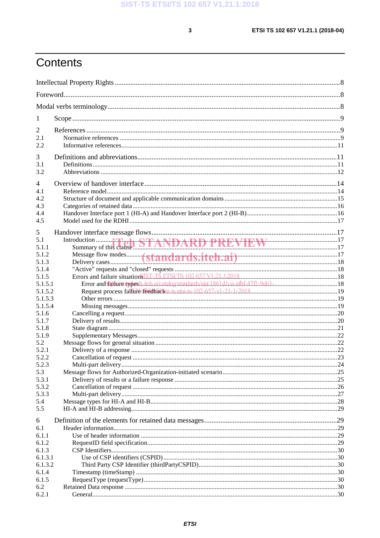$\mathbf{3}$ 

# Contents

| 1              |                                                                                     |  |
|----------------|-------------------------------------------------------------------------------------|--|
| $\overline{2}$ |                                                                                     |  |
| 2.1            |                                                                                     |  |
| 2.2            |                                                                                     |  |
| 3              |                                                                                     |  |
| 3.1            |                                                                                     |  |
| 3.2            |                                                                                     |  |
|                |                                                                                     |  |
| $\overline{4}$ |                                                                                     |  |
| 4.1            |                                                                                     |  |
| 4.2<br>4.3     |                                                                                     |  |
| 4.4            |                                                                                     |  |
| 4.5            |                                                                                     |  |
|                |                                                                                     |  |
| 5              |                                                                                     |  |
| 5.1            |                                                                                     |  |
| 5.1.1<br>5.1.2 |                                                                                     |  |
| 5.1.3          |                                                                                     |  |
| 5.1.4          |                                                                                     |  |
| 5.1.5          |                                                                                     |  |
| 5.1.5.1        | Error and failure aypests.itch.ai/catalog/standards/sist/1861d1ca-afbf-47f1-9eb3-18 |  |
| 5.1.5.2        |                                                                                     |  |
| 5.1.5.3        |                                                                                     |  |
| 5.1.5.4        |                                                                                     |  |
| 5.1.6          |                                                                                     |  |
| 5.1.7          |                                                                                     |  |
| 5.1.8<br>5.1.9 |                                                                                     |  |
| 5.2            |                                                                                     |  |
| 5.2.1          |                                                                                     |  |
| 5.2.2          |                                                                                     |  |
| 5.2.3          |                                                                                     |  |
| 5.3            |                                                                                     |  |
| 5.3.1          |                                                                                     |  |
| 5.3.2          |                                                                                     |  |
| 5.3.3          |                                                                                     |  |
| 5.4<br>5.5     |                                                                                     |  |
|                |                                                                                     |  |
| 6              |                                                                                     |  |
| 6.1            |                                                                                     |  |
| 6.1.1          |                                                                                     |  |
| 6.1.2<br>6.1.3 |                                                                                     |  |
| 6.1.3.1        |                                                                                     |  |
| 6.1.3.2        |                                                                                     |  |
| 6.1.4          |                                                                                     |  |
| 6.1.5          |                                                                                     |  |
| 6.2            |                                                                                     |  |
| 6.2.1          |                                                                                     |  |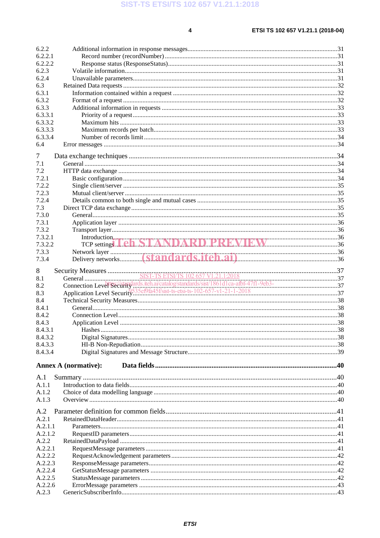$\overline{\mathbf{4}}$ 

| 6.2.2            |                                            |  |
|------------------|--------------------------------------------|--|
| 6.2.2.1          |                                            |  |
| 6.2.2.2          |                                            |  |
| 6.2.3            |                                            |  |
| 6.2.4            |                                            |  |
| 6.3              |                                            |  |
| 6.3.1            |                                            |  |
| 6.3.2            |                                            |  |
| 6.3.3            |                                            |  |
| 6.3.3.1          |                                            |  |
| 6.3.3.2          |                                            |  |
| 6.3.3.3          |                                            |  |
| 6.3.3.4          |                                            |  |
| 6.4              |                                            |  |
| 7                |                                            |  |
| 7.1              |                                            |  |
| 7.2              |                                            |  |
| 7.2.1            |                                            |  |
| 7.2.2            |                                            |  |
| 7.2.3            |                                            |  |
| 7.2.4            |                                            |  |
| 7.3              |                                            |  |
| 7.3.0            |                                            |  |
| 7.3.1            |                                            |  |
| 7.3.2            |                                            |  |
| 7.3.2.1          |                                            |  |
| 7.3.2.2          | Introduction, The <b>ANDARD PREVIEW</b> 26 |  |
| 7.3.3            |                                            |  |
| 7.3.4            |                                            |  |
|                  |                                            |  |
| 8                |                                            |  |
| 8.1              |                                            |  |
| 8.2              |                                            |  |
| 8.3              |                                            |  |
| 8.4              |                                            |  |
| 8.4.1            |                                            |  |
| 8.4.2            |                                            |  |
| 8.4.3            |                                            |  |
| 8.4.3.1          |                                            |  |
| 8.4.3.2          |                                            |  |
| 8.4.3.3          |                                            |  |
| 8.4.3.4          |                                            |  |
|                  | <b>Annex A (normative):</b>                |  |
| A.1              |                                            |  |
| A.1.1            |                                            |  |
| A.1.2            |                                            |  |
| A.1.3            |                                            |  |
| A.2              |                                            |  |
| A.2.1            |                                            |  |
| A.2.1.1          |                                            |  |
| A.2.1.2          |                                            |  |
| A.2.2            |                                            |  |
|                  |                                            |  |
| A.2.2.1          |                                            |  |
| A.2.2.2          |                                            |  |
| A.2.2.3          |                                            |  |
| A.2.2.4          |                                            |  |
| A.2.2.5          |                                            |  |
| A.2.2.6<br>A.2.3 |                                            |  |
|                  |                                            |  |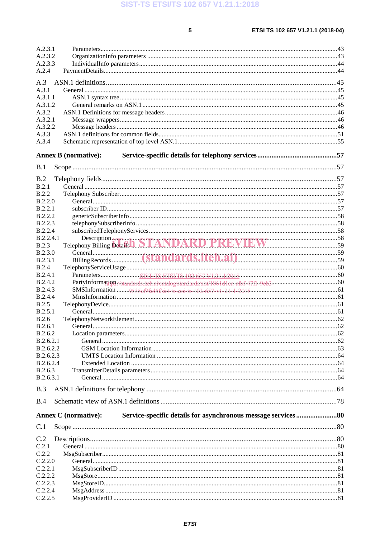SIST-TS ETSI/TS 102 657 V1.21.1:2018

 $\overline{\mathbf{5}}$ 

| A.2.3.1            |                                           |  |
|--------------------|-------------------------------------------|--|
| A.2.3.2            |                                           |  |
| A.2.3.3            |                                           |  |
| A.2.4              |                                           |  |
|                    |                                           |  |
| A.3                |                                           |  |
| A.3.1              |                                           |  |
| A.3.1.1            |                                           |  |
| A.3.1.2            |                                           |  |
| A.3.2              |                                           |  |
| A.3.2.1            |                                           |  |
| A.3.2.2            |                                           |  |
| A.3.3              |                                           |  |
| A.3.4              |                                           |  |
|                    |                                           |  |
|                    | <b>Annex B</b> (normative):               |  |
|                    |                                           |  |
| B.1                |                                           |  |
|                    |                                           |  |
| B.2                |                                           |  |
| B.2.1              |                                           |  |
| <b>B.2.2</b>       |                                           |  |
| B.2.2.0            |                                           |  |
| B.2.2.1            |                                           |  |
| <b>B.2.2.2</b>     |                                           |  |
|                    |                                           |  |
| <b>B.2.2.3</b>     |                                           |  |
| B.2.2.4            |                                           |  |
| B.2.2.4.1          | Description March 1997 ANDARD PREVIEW 359 |  |
| B.2.3              |                                           |  |
| B.2.3.0            |                                           |  |
| B.2.3.1            |                                           |  |
| <b>B.2.4</b>       |                                           |  |
| B.2.4.1            |                                           |  |
| <b>B.2.4.2</b>     |                                           |  |
| <b>B.2.4.3</b>     |                                           |  |
| <b>B.2.4.4</b>     |                                           |  |
| <b>B.2.5</b>       |                                           |  |
| B.2.5.1            |                                           |  |
| B.2.6              |                                           |  |
|                    |                                           |  |
| <b>B.2.6.1</b>     |                                           |  |
| B.2.6.2            |                                           |  |
| B.2.6.2.1          |                                           |  |
| B.2.6.2.2          |                                           |  |
| B.2.6.2.3          |                                           |  |
| B.2.6.2.4          |                                           |  |
| B.2.6.3            |                                           |  |
| B.2.6.3.1          |                                           |  |
|                    |                                           |  |
| B.3                |                                           |  |
|                    |                                           |  |
| B.4                |                                           |  |
|                    | <b>Annex C</b> (normative):               |  |
|                    |                                           |  |
| C.1                |                                           |  |
|                    |                                           |  |
| C.2                |                                           |  |
|                    |                                           |  |
|                    |                                           |  |
| C.2.1              |                                           |  |
| C.2.2              |                                           |  |
| C.2.2.0            |                                           |  |
| C.2.2.1            |                                           |  |
| C.2.2.2            |                                           |  |
| C.2.2.3            |                                           |  |
| C.2.2.4<br>C.2.2.5 |                                           |  |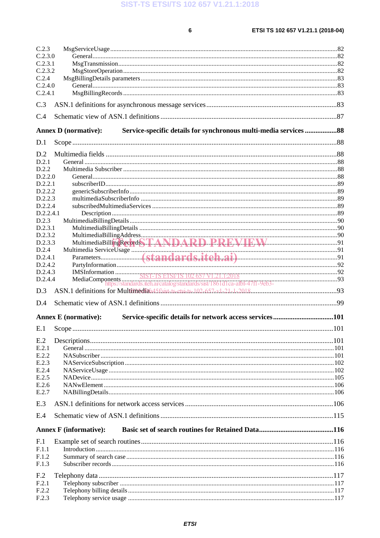SIST-TS ETSI/TS 102 657 V1.21.1:2018

 $6\phantom{a}$ 

| C.2.3           |                                                                                                 |  |
|-----------------|-------------------------------------------------------------------------------------------------|--|
| C.2.3.0         |                                                                                                 |  |
| C.2.3.1         |                                                                                                 |  |
| C.2.3.2         |                                                                                                 |  |
| C.2.4           |                                                                                                 |  |
| C.2.4.0         |                                                                                                 |  |
| C.2.4.1         |                                                                                                 |  |
| C.3             |                                                                                                 |  |
| C.4             |                                                                                                 |  |
|                 | Service-specific details for synchronous multi-media services 88<br><b>Annex D</b> (normative): |  |
| D.1             |                                                                                                 |  |
| D.2             |                                                                                                 |  |
| D.2.1           |                                                                                                 |  |
| D.2.2           |                                                                                                 |  |
| D.2.2.0         |                                                                                                 |  |
| D.2.2.1         |                                                                                                 |  |
| D.2.2.2         |                                                                                                 |  |
| D.2.2.3         |                                                                                                 |  |
| D.2.2.4         |                                                                                                 |  |
| D.2.2.4.1       |                                                                                                 |  |
| D.2.3           |                                                                                                 |  |
| D.2.3.1         |                                                                                                 |  |
| D.2.3.2         |                                                                                                 |  |
| D.2.3.3         |                                                                                                 |  |
| D.2.4           |                                                                                                 |  |
| D.2.4.1         |                                                                                                 |  |
| D.2.4.2         |                                                                                                 |  |
| D.2.4.3         |                                                                                                 |  |
| D.2.4.4         |                                                                                                 |  |
| D.3             |                                                                                                 |  |
| D.4             |                                                                                                 |  |
|                 | Service-specific details for network access services101<br><b>Annex E</b> (normative):          |  |
| E.1             |                                                                                                 |  |
| E.2             |                                                                                                 |  |
| E.2.1           |                                                                                                 |  |
| E.2.2           |                                                                                                 |  |
| E.2.3           |                                                                                                 |  |
| E.2.4           |                                                                                                 |  |
| E.2.5           |                                                                                                 |  |
| E.2.6           |                                                                                                 |  |
| E.2.7           |                                                                                                 |  |
| E.3             |                                                                                                 |  |
| E.4             |                                                                                                 |  |
|                 | <b>Annex F</b> (informative):                                                                   |  |
|                 |                                                                                                 |  |
| F <sub>.1</sub> |                                                                                                 |  |
| F.1.1           |                                                                                                 |  |
| F.1.2           |                                                                                                 |  |
| F.1.3           |                                                                                                 |  |
| F <sub>.2</sub> |                                                                                                 |  |
| F.2.1           |                                                                                                 |  |
| F.2.2           |                                                                                                 |  |
| F.2.3           |                                                                                                 |  |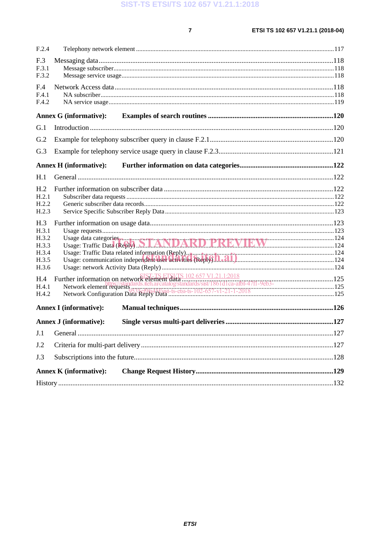$\overline{7}$ 

| F.2.4                                      |                               |                                                                                                  |  |
|--------------------------------------------|-------------------------------|--------------------------------------------------------------------------------------------------|--|
| F.3<br>F.3.1<br>F.3.2                      |                               |                                                                                                  |  |
| F.4<br>F.4.1<br>F.4.2                      |                               |                                                                                                  |  |
|                                            | <b>Annex G (informative):</b> |                                                                                                  |  |
| G.1                                        |                               |                                                                                                  |  |
| G.2                                        |                               |                                                                                                  |  |
| G.3                                        |                               |                                                                                                  |  |
|                                            | <b>Annex H</b> (informative): |                                                                                                  |  |
| H.1                                        |                               |                                                                                                  |  |
| H <sub>.2</sub><br>H.2.1<br>H.2.2<br>H.2.3 |                               |                                                                                                  |  |
| H.3<br>H.3.1<br>H.3.2<br>H.3.3             |                               |                                                                                                  |  |
| H.3.4                                      |                               | Usage: Traffic Data related information (Reply). The construction of the construction of the 124 |  |
| H.3.5<br>H.3.6                             |                               |                                                                                                  |  |
| H.4<br>H.4.1<br>H.4.2                      |                               |                                                                                                  |  |
|                                            | <b>Annex I</b> (informative): |                                                                                                  |  |
|                                            | <b>Annex J (informative):</b> |                                                                                                  |  |
| J.1                                        |                               |                                                                                                  |  |
| J.2                                        |                               |                                                                                                  |  |
| J.3                                        |                               |                                                                                                  |  |
|                                            | <b>Annex K</b> (informative): |                                                                                                  |  |
|                                            |                               |                                                                                                  |  |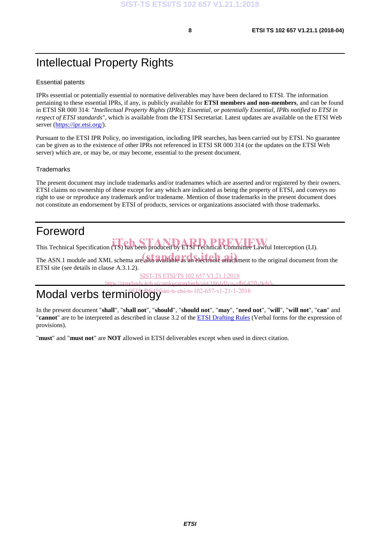# Intellectual Property Rights

#### Essential patents

IPRs essential or potentially essential to normative deliverables may have been declared to ETSI. The information pertaining to these essential IPRs, if any, is publicly available for **ETSI members and non-members**, and can be found in ETSI SR 000 314: *"Intellectual Property Rights (IPRs); Essential, or potentially Essential, IPRs notified to ETSI in respect of ETSI standards"*, which is available from the ETSI Secretariat. Latest updates are available on the ETSI Web server (https://ipr.etsi.org/).

Pursuant to the ETSI IPR Policy, no investigation, including IPR searches, has been carried out by ETSI. No guarantee can be given as to the existence of other IPRs not referenced in ETSI SR 000 314 (or the updates on the ETSI Web server) which are, or may be, or may become, essential to the present document.

#### **Trademarks**

The present document may include trademarks and/or tradenames which are asserted and/or registered by their owners. ETSI claims no ownership of these except for any which are indicated as being the property of ETSI, and conveys no right to use or reproduce any trademark and/or tradename. Mention of those trademarks in the present document does not constitute an endorsement by ETSI of products, services or organizations associated with those trademarks.

### Foreword

This Technical Specification (TS) has been produced by ETSI Technical Committee Lawful Interception (LI).

The ASN.1 module and XML schema are also available as an electronic attachment to the original document from the ETSI site (see details in clause A.3.1.2).

SIST-TS ETSI/TS 102 657 V1.21.1:2018

https://standards.iteh.ai/catalog/standards/sist/1861d1ca-afbf-47f1-9eb3  $sist-ts-etsi-ts-102-657-v1-21-1-2018$ 

# Modal verbs terminology

In the present document "**shall**", "**shall not**", "**should**", "**should not**", "**may**", "**need not**", "**will**", "**will not**", "**can**" and "**cannot**" are to be interpreted as described in clause 3.2 of the ETSI Drafting Rules (Verbal forms for the expression of provisions).

"**must**" and "**must not**" are **NOT** allowed in ETSI deliverables except when used in direct citation.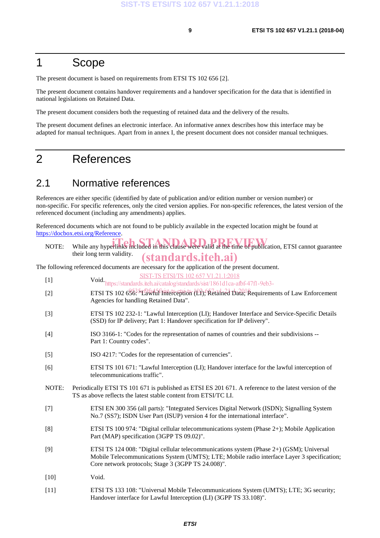### 1 Scope

The present document is based on requirements from ETSI TS 102 656 [2].

The present document contains handover requirements and a handover specification for the data that is identified in national legislations on Retained Data.

The present document considers both the requesting of retained data and the delivery of the results.

The present document defines an electronic interface. An informative annex describes how this interface may be adapted for manual techniques. Apart from in annex I, the present document does not consider manual techniques.

### 2 References

### 2.1 Normative references

References are either specific (identified by date of publication and/or edition number or version number) or non-specific. For specific references, only the cited version applies. For non-specific references, the latest version of the referenced document (including any amendments) applies.

Referenced documents which are not found to be publicly available in the expected location might be found at https://docbox.etsi.org/Reference.

NOTE: While any hyperlinks included in this clause were valid at the time of publication, ETSI cannot guarantee their long term validity. (standards.iteh.ai)

The following referenced documents are necessary for the application of the present document.

SIST-TS ETSI/TS 102 657 V1.21.1:2018

- [1] Void. https://standards.iteh.ai/catalog/standards/sist/1861d1ca-afbf-47f1-9eb3-
- [2] ETSI TS 102  $65\overline{6}$ <sup>35</sup> $\overline{12}$ fa $\overline{43}$ f Interception (Li);  $\overline{6}$ ctained  $\overline{12}$ a<sup>1</sup>a<sup>1</sup> Requirements of Law Enforcement Agencies for handling Retained Data".
- [3] ETSI TS 102 232-1: "Lawful Interception (LI); Handover Interface and Service-Specific Details (SSD) for IP delivery; Part 1: Handover specification for IP delivery".
- [4] ISO 3166-1: "Codes for the representation of names of countries and their subdivisions -- Part 1: Country codes".
- [5] ISO 4217: "Codes for the representation of currencies".
- [6] ETSI TS 101 671: "Lawful Interception (LI); Handover interface for the lawful interception of telecommunications traffic".
- NOTE: Periodically ETSI TS 101 671 is published as ETSI ES 201 671. A reference to the latest version of the TS as above reflects the latest stable content from ETSI/TC LI.
- [7] ETSI EN 300 356 (all parts): "Integrated Services Digital Network (ISDN); Signalling System No.7 (SS7); ISDN User Part (ISUP) version 4 for the international interface".
- [8] ETSI TS 100 974: "Digital cellular telecommunications system (Phase 2+); Mobile Application Part (MAP) specification (3GPP TS 09.02)".
- [9] ETSI TS 124 008: "Digital cellular telecommunications system (Phase 2+) (GSM); Universal Mobile Telecommunications System (UMTS); LTE; Mobile radio interface Layer 3 specification; Core network protocols; Stage 3 (3GPP TS 24.008)".
- [10] **Void.**
- [11] ETSI TS 133 108: "Universal Mobile Telecommunications System (UMTS); LTE; 3G security; Handover interface for Lawful Interception (LI) (3GPP TS 33.108)".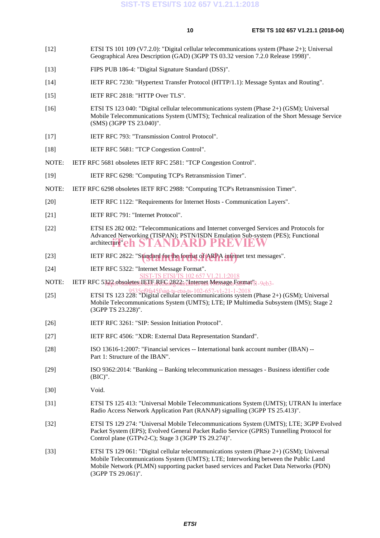- [12] ETSI TS 101 109 (V7.2.0): "Digital cellular telecommunications system (Phase 2+); Universal Geographical Area Description (GAD) (3GPP TS 03.32 version 7.2.0 Release 1998)".
- [13] FIPS PUB 186-4: "Digital Signature Standard (DSS)".
- [14] IETF RFC 7230: "Hypertext Transfer Protocol (HTTP/1.1): Message Syntax and Routing".
- [15] IETF RFC 2818: "HTTP Over TLS".
- [16] ETSI TS 123 040: "Digital cellular telecommunications system (Phase 2+) (GSM); Universal Mobile Telecommunications System (UMTS); Technical realization of the Short Message Service (SMS) (3GPP TS 23.040)".
- [17] IETF RFC 793: "Transmission Control Protocol".
- [18] IETF RFC 5681: "TCP Congestion Control".
- NOTE: IETF RFC 5681 obsoletes IETF RFC 2581: "TCP Congestion Control".
- [19] IETF RFC 6298: "Computing TCP's Retransmission Timer".
- NOTE: IETF RFC 6298 obsoletes IETF RFC 2988: "Computing TCP's Retransmission Timer".
- [20] IETF RFC 1122: "Requirements for Internet Hosts Communication Layers".
- [21] **IETF RFC 791: "Internet Protocol".**
- [22] ETSI ES 282 002: "Telecommunications and Internet converged Services and Protocols for Advanced Networking (TISPAN); PSTN/ISDN Emulation Sub-system (PES); Functional architecture"eh STANDARD PREVIEW
- [23] IETF RFC 2822: "Standard for the format of ARPA internet text messages".
- [24] **IETF RFC 5322: "Internet Message Format".**<br>SIST-TS ETSI/TS 102 657 V1.21.1:2018
- T-TS ETSI/TS 102 657
- NOTE: IETF RFC 5322 obsoletes JEJFaREG 2822; "Internet Message Format'l 9eb3-
- **ETSI TS** 123 228: "Digital cellular telecommunications system (Phase 2+) (GSM); Universal [25] Mobile Telecommunications System (UMTS); LTE; IP Multimedia Subsystem (IMS); Stage 2 (3GPP TS 23.228)".
- [26] IETF RFC 3261: "SIP: Session Initiation Protocol".
- [27] IETF RFC 4506: "XDR: External Data Representation Standard".
- [28] ISO 13616-1:2007: "Financial services -- International bank account number (IBAN) -- Part 1: Structure of the IBAN".
- [29] ISO 9362:2014: "Banking -- Banking telecommunication messages Business identifier code (BIC)".
- [30] Void.
- [31] ETSI TS 125 413: "Universal Mobile Telecommunications System (UMTS); UTRAN Iu interface Radio Access Network Application Part (RANAP) signalling (3GPP TS 25.413)".
- [32] ETSI TS 129 274: "Universal Mobile Telecommunications System (UMTS); LTE; 3GPP Evolved Packet System (EPS); Evolved General Packet Radio Service (GPRS) Tunnelling Protocol for Control plane (GTPv2-C); Stage 3 (3GPP TS 29.274)".
- [33] ETSI TS 129 061: "Digital cellular telecommunications system (Phase 2+) (GSM); Universal Mobile Telecommunications System (UMTS); LTE; Interworking between the Public Land Mobile Network (PLMN) supporting packet based services and Packet Data Networks (PDN) (3GPP TS 29.061)".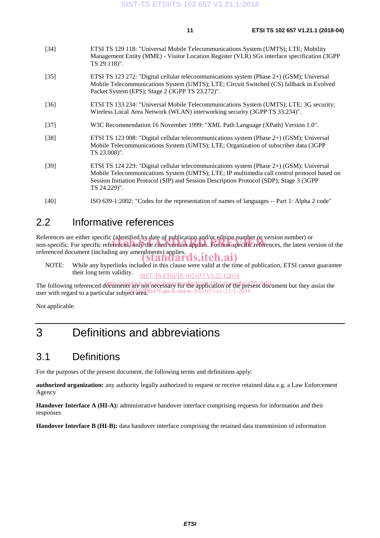| [34] | ETSI TS 129 118: "Universal Mobile Telecommunications System (UMTS); LTE; Mobility           |
|------|----------------------------------------------------------------------------------------------|
|      | Management Entity (MME) - Visitor Location Register (VLR) SGs interface specification (3GPP) |
|      | TS 29.118)".                                                                                 |

- [35] ETSI TS 123 272: "Digital cellular telecommunications system (Phase 2+) (GSM); Universal Mobile Telecommunications System (UMTS); LTE; Circuit Switched (CS) fallback in Evolved Packet System (EPS); Stage 2 (3GPP TS 23.272)".
- [36] ETSI TS 133 234: "Universal Mobile Telecommunications System (UMTS); LTE; 3G security; Wireless Local Area Network (WLAN) interworking security (3GPP TS 33.234)".
- [37] W3C Recommendation 16 November 1999: "XML Path Language (XPath) Version 1.0".
- [38] ETSI TS 123 008: "Digital cellular telecommunications system (Phase 2+) (GSM); Universal Mobile Telecommunications System (UMTS); LTE; Organization of subscriber data (3GPP TS 23.008)".
- [39] ETSI TS 124 229: "Digital cellular telecommunications system (Phase 2+) (GSM); Universal Mobile Telecommunications System (UMTS); LTE; IP multimedia call control protocol based on Session Initiation Protocol (SIP) and Session Description Protocol (SDP); Stage 3 (3GPP TS 24.229)".
- [40] ISO 639-1:2002: "Codes for the representation of names of languages -- Part 1: Alpha 2 code"

### 2.2 Informative references

References are either specific (identified by date of publication and/or edition number or version number) or References are either specific (identified by date of publication and/or edition number or version number) or<br>non-specific. For specific references, only the cited version applies. For non-specific references, the latest v referenced document (including any amendments) applies. standards.iteh.ai)

NOTE: While any hyperlinks included in this clause were valid at the time of publication, ETSI cannot guarantee their long term validity. SIST-TS ETSI/TS 102 657 V1.21.1:2018

The following referenced documents are not hecessary for the application of the present document but they assist the user with regard to a particular subject area.  $653566/645$  f/sist-ts-etsi-ts-102-657-v1-21-1-2018

Not applicable.

# 3 Definitions and abbreviations

### 3.1 Definitions

For the purposes of the present document, the following terms and definitions apply:

**authorized organization:** any authority legally authorized to request or receive retained data e.g. a Law Enforcement Agency

**Handover Interface A (HI-A):** administrative handover interface comprising requests for information and their responses

**Handover Interface B (HI-B):** data handover interface comprising the retained data transmission of information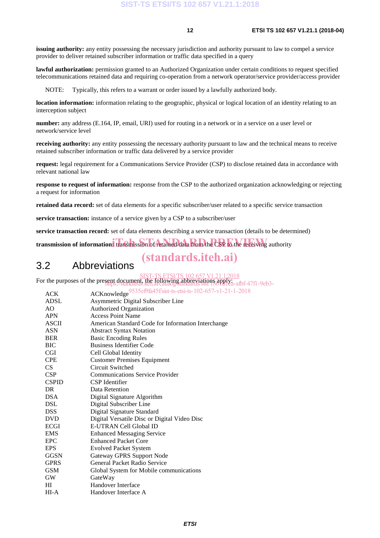**issuing authority:** any entity possessing the necessary jurisdiction and authority pursuant to law to compel a service provider to deliver retained subscriber information or traffic data specified in a query

**lawful authorization:** permission granted to an Authorized Organization under certain conditions to request specified telecommunications retained data and requiring co-operation from a network operator/service provider/access provider

NOTE: Typically, this refers to a warrant or order issued by a lawfully authorized body.

**location information:** information relating to the geographic, physical or logical location of an identity relating to an interception subject

**number:** any address (E.164, IP, email, URI) used for routing in a network or in a service on a user level or network/service level

**receiving authority:** any entity possessing the necessary authority pursuant to law and the technical means to receive retained subscriber information or traffic data delivered by a service provider

**request:** legal requirement for a Communications Service Provider (CSP) to disclose retained data in accordance with relevant national law

**response to request of information:** response from the CSP to the authorized organization acknowledging or rejecting a request for information

**retained data record:** set of data elements for a specific subscriber/user related to a specific service transaction

**service transaction:** instance of a service given by a CSP to a subscriber/user

**service transaction record:** set of data elements describing a service transaction (details to be determined)

transmission of information: transmission of retained data from the CSP to the receiving authority

## (standards.iteh.ai)

### 3.2 Abbreviations

For the purposes of the present document, the following abbreviations apply. sent document, the following appreviations apply:<br>https://standards.iteh.ai/catalog/standards/sist/1861d1ca-afbf-47f1-9eb3-

ACK ACKnowledge<sup>9535ef9fa45f/sist-ts-etsi-ts-102-657-v1-21-1-2018</sup>

| AUN          | <b>AUNIOWIEULE</b>                                 |
|--------------|----------------------------------------------------|
| ADSL         | Asymmetric Digital Subscriber Line                 |
| AO           | Authorized Organization                            |
| <b>APN</b>   | <b>Access Point Name</b>                           |
| ASCII        | American Standard Code for Information Interchange |
| <b>ASN</b>   | <b>Abstract Syntax Notation</b>                    |
| <b>BER</b>   | <b>Basic Encoding Rules</b>                        |
| BIC          | <b>Business Identifier Code</b>                    |
| <b>CGI</b>   | Cell Global Identity                               |
| <b>CPE</b>   | <b>Customer Premises Equipment</b>                 |
| CS.          | Circuit Switched                                   |
| <b>CSP</b>   | <b>Communications Service Provider</b>             |
| <b>CSPID</b> | CSP Identifier                                     |
| DR.          | Data Retention                                     |
| <b>DSA</b>   | Digital Signature Algorithm                        |
| <b>DSL</b>   | Digital Subscriber Line                            |
| <b>DSS</b>   | Digital Signature Standard                         |
| <b>DVD</b>   | Digital Versatile Disc or Digital Video Disc       |
| <b>ECGI</b>  | E-UTRAN Cell Global ID                             |
| <b>EMS</b>   | <b>Enhanced Messaging Service</b>                  |
| EPC          | <b>Enhanced Packet Core</b>                        |
| <b>EPS</b>   | <b>Evolved Packet System</b>                       |
| GGSN         | Gateway GPRS Support Node                          |
| <b>GPRS</b>  | General Packet Radio Service                       |
| <b>GSM</b>   | Global System for Mobile communications            |
| <b>GW</b>    | GateWay                                            |
| HI           | Handover Interface                                 |
| HI-A         | Handover Interface A                               |